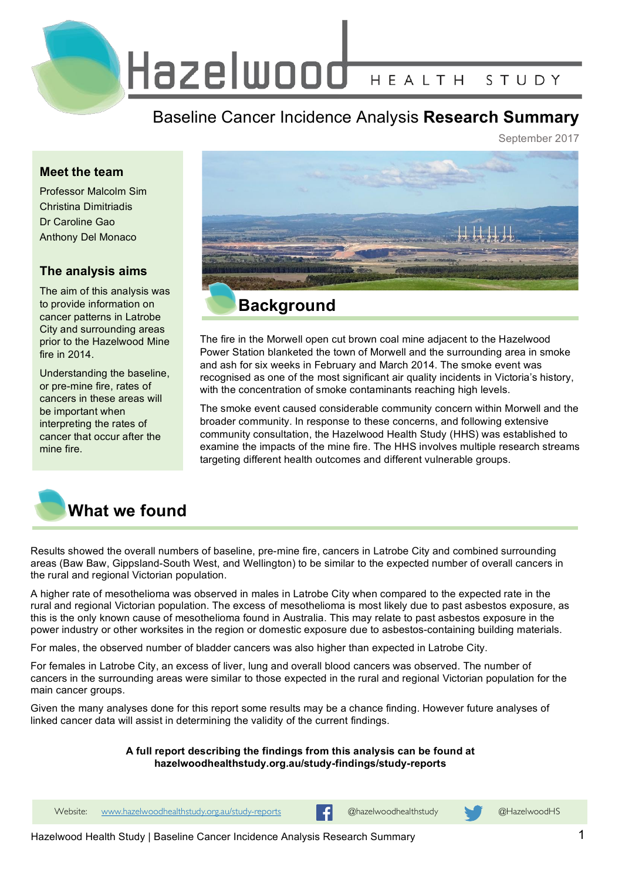Hazelwood HEALTH STUDY

Baseline Cancer Incidence Analysis **Research Summary**

September 2017

### **Meet the team**

Professor Malcolm Sim Christina Dimitriadis Dr Caroline Gao Anthony Del Monaco

# **The analysis aims**

The aim of this analysis was to provide information on cancer patterns in Latrobe City and surrounding areas prior to the Hazelwood Mine fire in  $2014$ 

Understanding the baseline, or pre-mine fire, rates of cancers in these areas will be important when interpreting the rates of cancer that occur after the mine fire.



The fire in the Morwell open cut brown coal mine adjacent to the Hazelwood Power Station blanketed the town of Morwell and the surrounding area in smoke and ash for six weeks in February and March 2014. The smoke event was recognised as one of the most significant air quality incidents in Victoria's history, with the concentration of smoke contaminants reaching high levels.

The smoke event caused considerable community concern within Morwell and the broader community. In response to these concerns, and following extensive community consultation, the Hazelwood Health Study (HHS) was established to examine the impacts of the mine fire. The HHS involves multiple research streams targeting different health outcomes and different vulnerable groups.



Results showed the overall numbers of baseline, pre-mine fire, cancers in Latrobe City and combined surrounding areas (Baw Baw, Gippsland-South West, and Wellington) to be similar to the expected number of overall cancers in the rural and regional Victorian population.

A higher rate of mesothelioma was observed in males in Latrobe City when compared to the expected rate in the rural and regional Victorian population. The excess of mesothelioma is most likely due to past asbestos exposure, as this is the only known cause of mesothelioma found in Australia. This may relate to past asbestos exposure in the power industry or other worksites in the region or domestic exposure due to asbestos-containing building materials.

For males, the observed number of bladder cancers was also higher than expected in Latrobe City.

For females in Latrobe City, an excess of liver, lung and overall blood cancers was observed. The number of cancers in the surrounding areas were similar to those expected in the rural and regional Victorian population for the main cancer groups.

Given the many analyses done for this report some results may be a chance finding. However future analyses of linked cancer data will assist in determining the validity of the current findings.

#### **A full report describing the findings from this analysis can be found at hazelwoodhealthstudy.org.au/study-findings/study-reports**